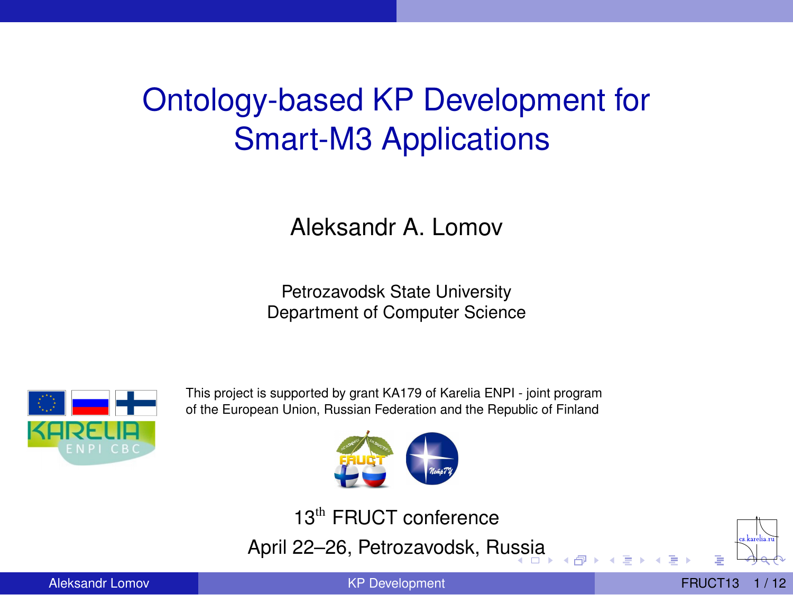## Ontology-based KP Development for Smart-M3 Applications

Aleksandr A. Lomov

Petrozavodsk State University Department of Computer Science



This project is supported by grant KA179 of Karelia ENPI - joint program of the European Union, Russian Federation and the Republic of Finland



13<sup>th</sup> FRUCT conference April 22–26, Petrozavodsk, Ru[ss](#page-0-0)i[a](#page-1-0)

<span id="page-0-0"></span>

Aleksandr Lomov **[KP Development](#page-11-0)** FRUCT13 1/12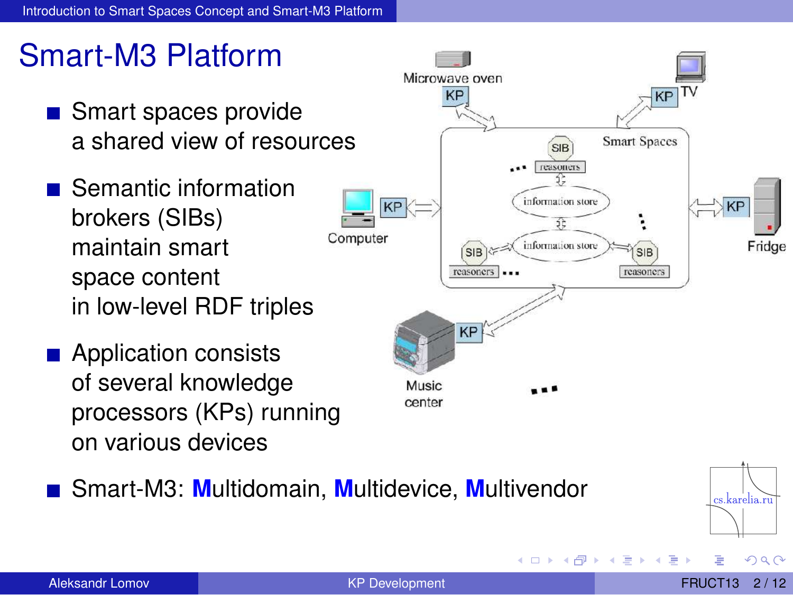## Smart-M3 Platform

- Smart spaces provide a shared view of resources
- Semantic information brokers (SIBs) maintain smart space content in low-level RDF triples
- **Application consists** of several knowledge processors (KPs) running on various devices



Smart-M3: **M**ultidomain, **M**ultidevice, **M**ultivendor

<span id="page-1-0"></span>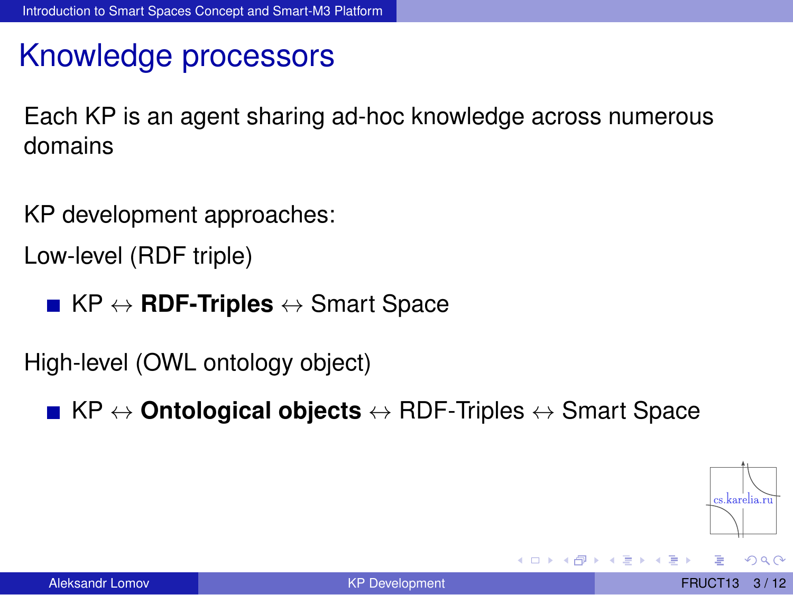## Knowledge processors

Each KP is an agent sharing ad-hoc knowledge across numerous domains

KP development approaches: Low-level (RDF triple)

■ KP ↔ **RDF-Triples** ↔ Smart Space

High-level (OWL ontology object)

KP ↔ **Ontological objects** ↔ RDF-Triples ↔ Smart Space

<span id="page-2-0"></span>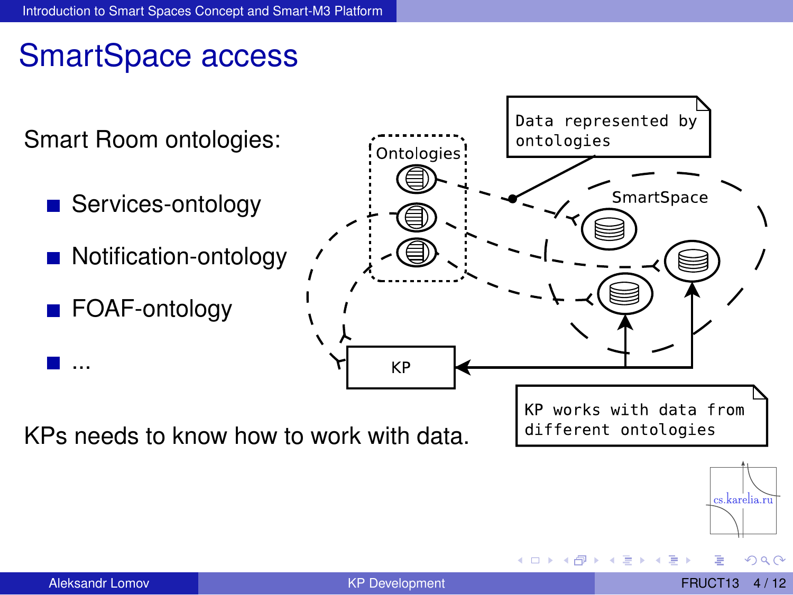### SmartSpace access

<span id="page-3-0"></span>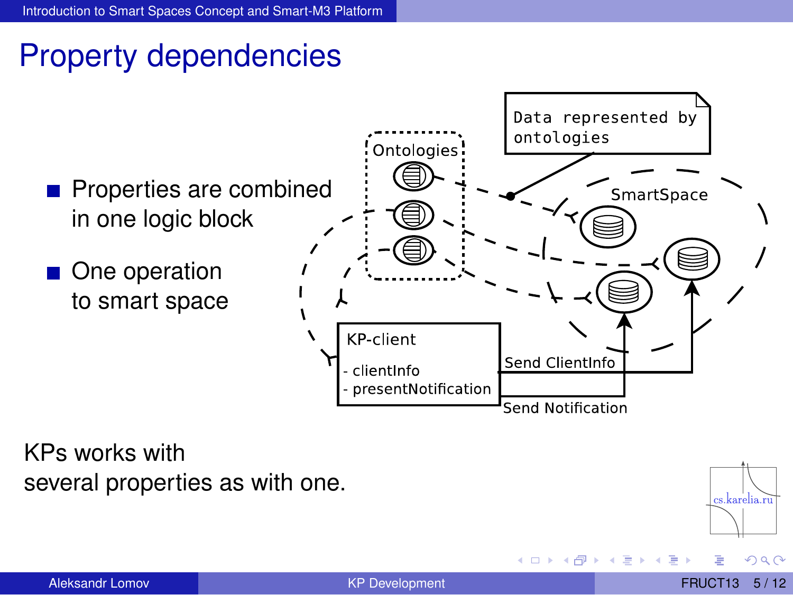## Property dependencies



KPs works with several properties as with one.



<span id="page-4-0"></span> $\Omega$ 

 $+ \Box + 4 \Box$ 

×. Þ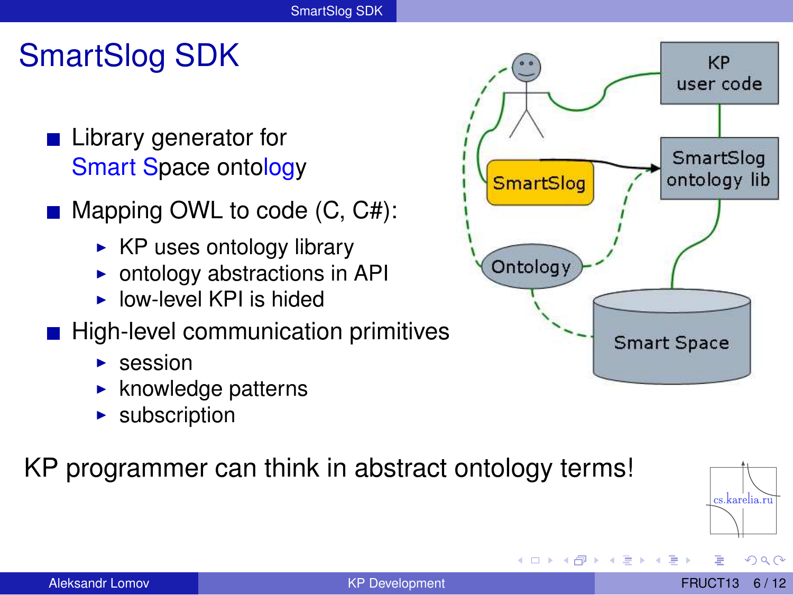## SmartSlog SDK

- **Library generator for** Smart Space ontology
- Mapping OWL to code (C, C#):
	- $\triangleright$  KP uses ontology library
	- ► ontology abstractions in API
	- $\triangleright$  low-level KPI is hided
- High-level communication primitives
	- $\triangleright$  session
	- $\blacktriangleright$  knowledge patterns
	- $\blacktriangleright$  subscription

#### KP programmer can think in abstract ontology terms!



 $+ \Box + 4 \Box$ 

<span id="page-5-0"></span> $\Omega$ 

 $\rightarrow$   $\pm$ 

cs.karelia.ru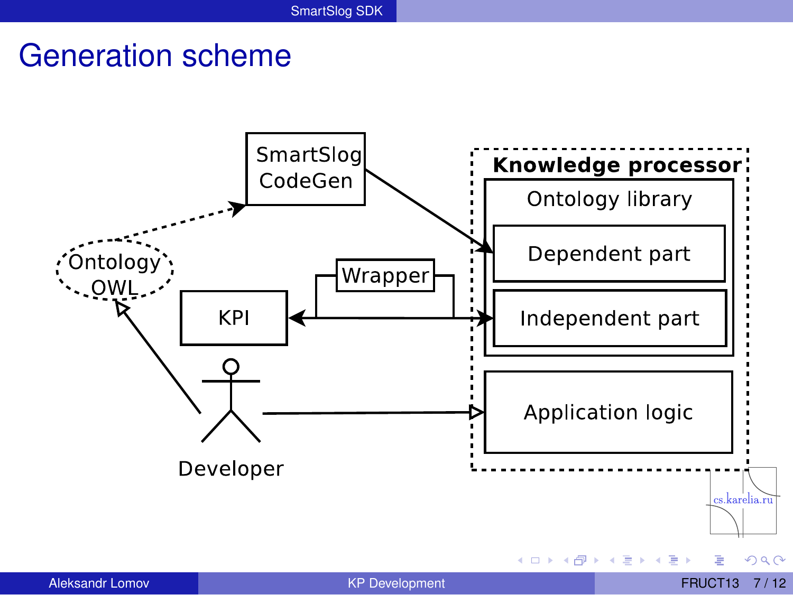#### Generation scheme

<span id="page-6-0"></span>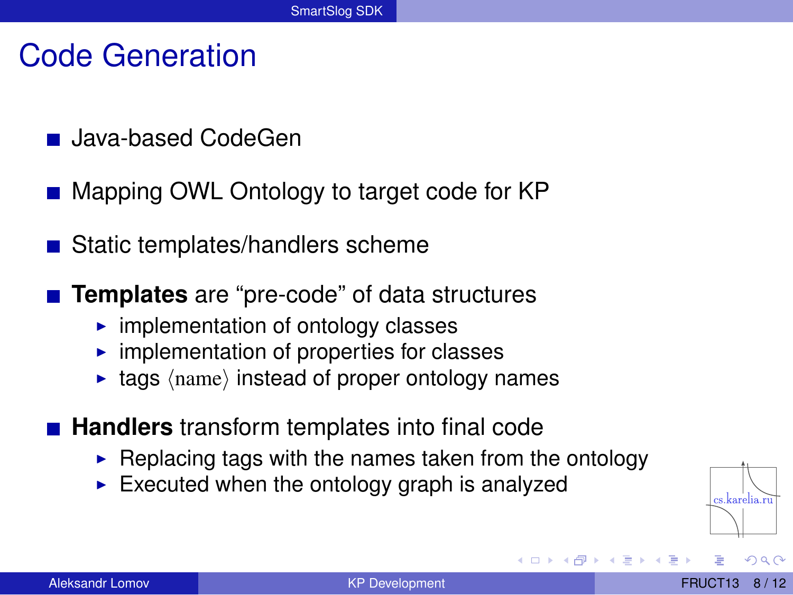#### Code Generation

- **Java-based CodeGen**
- Mapping OWL Ontology to target code for KP
- Static templates/handlers scheme
- **Templates** are "pre-code" of data structures
	- $\blacktriangleright$  implementation of ontology classes
	- $\triangleright$  implementation of properties for classes
	- $\triangleright$  tags  $\langle$  hame) instead of proper ontology names
- **Handlers** transform templates into final code
	- $\blacktriangleright$  Replacing tags with the names taken from the ontology
	- $\blacktriangleright$  Executed when the ontology graph is analyzed

<span id="page-7-0"></span>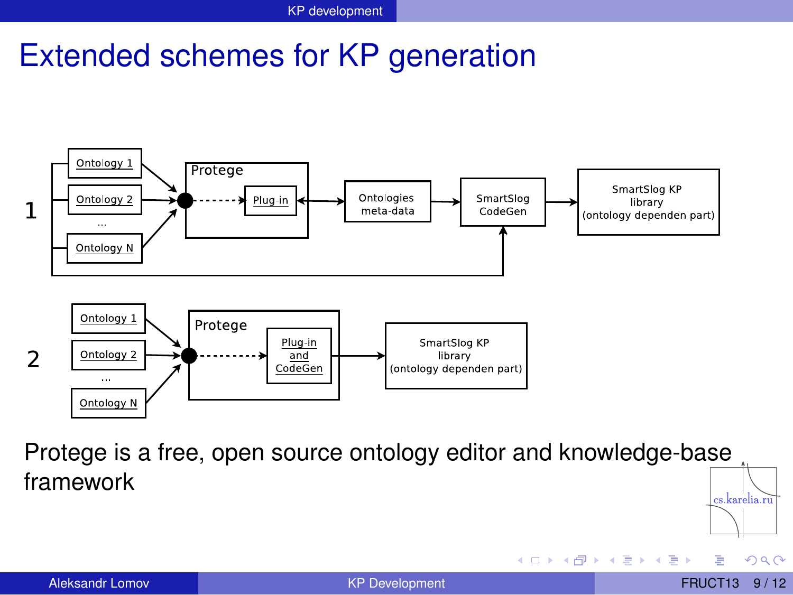#### Extended schemes for KP generation



Protege is a free, open source ontology editor and knowledge-base framework cs.karelia.ru

 $1\sqcap$   $1\sqcap 1$ 

→ 重き→ 重き

<span id="page-8-0"></span> $QQ$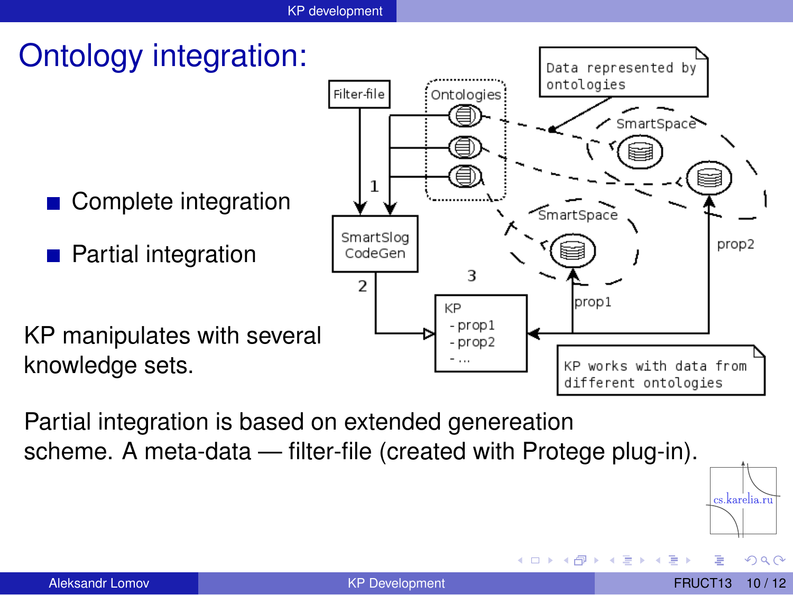

Partial integration is based on extended genereation scheme. A meta-data — filter-file (created with Protege plug-in).



<span id="page-9-0"></span> $\Omega$ 

 $\leftarrow$ 

4 m k 1

医全国医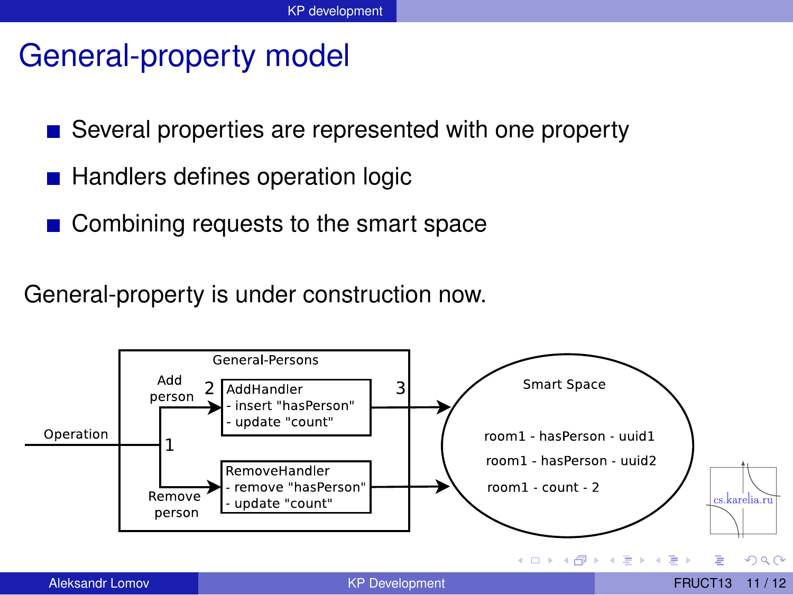#### General-property model

- Several properties are represented with one property
- Handlers defines operation logic
- **Combining requests to the smart space**

<span id="page-10-0"></span>General-property is under construction now.